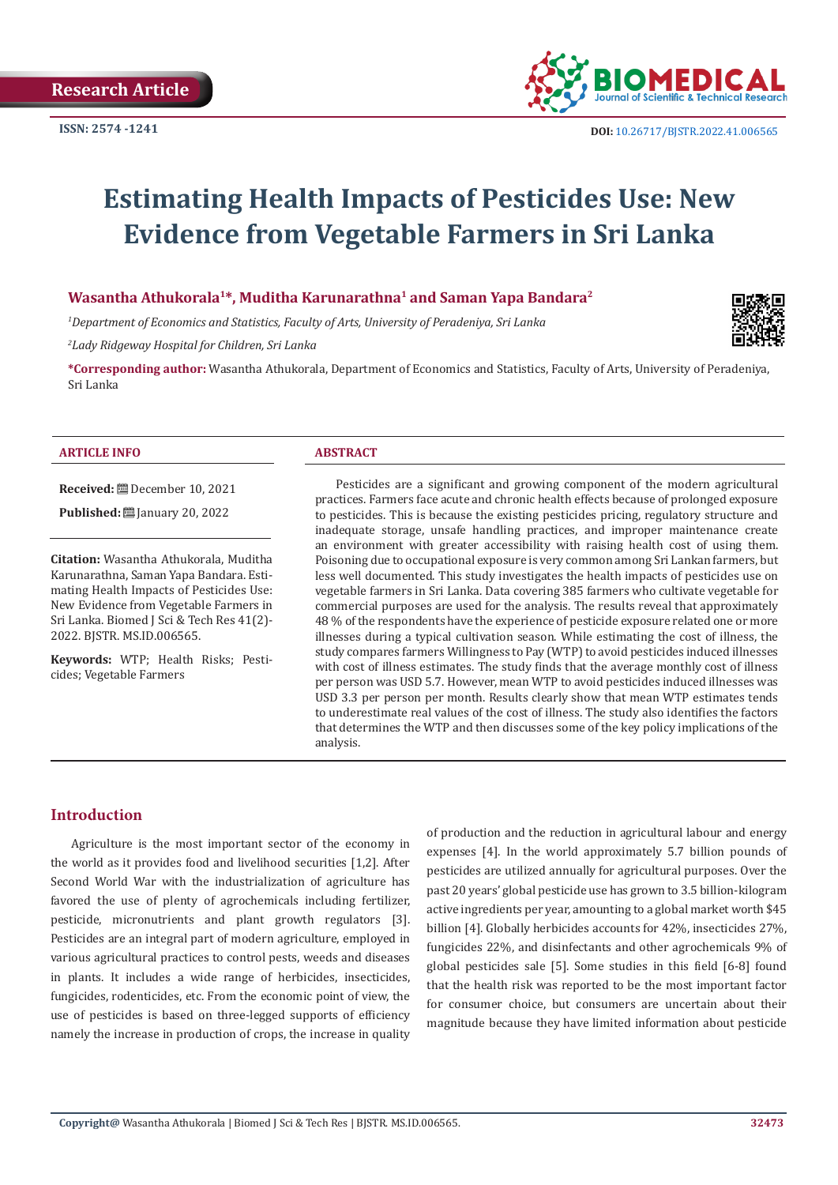

# **Estimating Health Impacts of Pesticides Use: New Evidence from Vegetable Farmers in Sri Lanka**

# **Wasantha Athukorala1\*, Muditha Karunarathna1 and Saman Yapa Bandara2**

*1 Department of Economics and Statistics, Faculty of Arts, University of Peradeniya, Sri Lanka*

*2 Lady Ridgeway Hospital for Children, Sri Lanka*

**\*Corresponding author:** Wasantha Athukorala, Department of Economics and Statistics, Faculty of Arts, University of Peradeniya, Sri Lanka

#### **ARTICLE INFO ABSTRACT**

**Received:** December 10, 2021

**Published:** [20] January 20, 2022

**Citation:** Wasantha Athukorala, Muditha Karunarathna, Saman Yapa Bandara. Estimating Health Impacts of Pesticides Use: New Evidence from Vegetable Farmers in Sri Lanka. Biomed J Sci & Tech Res 41(2)- 2022. BJSTR. MS.ID.006565.

**Keywords:** WTP; Health Risks; Pesticides; Vegetable Farmers

Pesticides are a significant and growing component of the modern agricultural practices. Farmers face acute and chronic health effects because of prolonged exposure to pesticides. This is because the existing pesticides pricing, regulatory structure and inadequate storage, unsafe handling practices, and improper maintenance create an environment with greater accessibility with raising health cost of using them. Poisoning due to occupational exposure is very common among Sri Lankan farmers, but less well documented. This study investigates the health impacts of pesticides use on vegetable farmers in Sri Lanka. Data covering 385 farmers who cultivate vegetable for commercial purposes are used for the analysis. The results reveal that approximately 48 % of the respondents have the experience of pesticide exposure related one or more illnesses during a typical cultivation season. While estimating the cost of illness, the study compares farmers Willingness to Pay (WTP) to avoid pesticides induced illnesses with cost of illness estimates. The study finds that the average monthly cost of illness per person was USD 5.7. However, mean WTP to avoid pesticides induced illnesses was USD 3.3 per person per month. Results clearly show that mean WTP estimates tends to underestimate real values of the cost of illness. The study also identifies the factors that determines the WTP and then discusses some of the key policy implications of the analysis.

## **Introduction**

Agriculture is the most important sector of the economy in the world as it provides food and livelihood securities [1,2]. After Second World War with the industrialization of agriculture has favored the use of plenty of agrochemicals including fertilizer, pesticide, micronutrients and plant growth regulators [3]. Pesticides are an integral part of modern agriculture, employed in various agricultural practices to control pests, weeds and diseases in plants. It includes a wide range of herbicides, insecticides, fungicides, rodenticides, etc. From the economic point of view, the use of pesticides is based on three-legged supports of efficiency namely the increase in production of crops, the increase in quality

of production and the reduction in agricultural labour and energy expenses [4]. In the world approximately 5.7 billion pounds of pesticides are utilized annually for agricultural purposes. Over the past 20 years' global pesticide use has grown to 3.5 billion-kilogram active ingredients per year, amounting to a global market worth \$45 billion [4]. Globally herbicides accounts for 42%, insecticides 27%, fungicides 22%, and disinfectants and other agrochemicals 9% of global pesticides sale [5]. Some studies in this field [6-8] found that the health risk was reported to be the most important factor for consumer choice, but consumers are uncertain about their magnitude because they have limited information about pesticide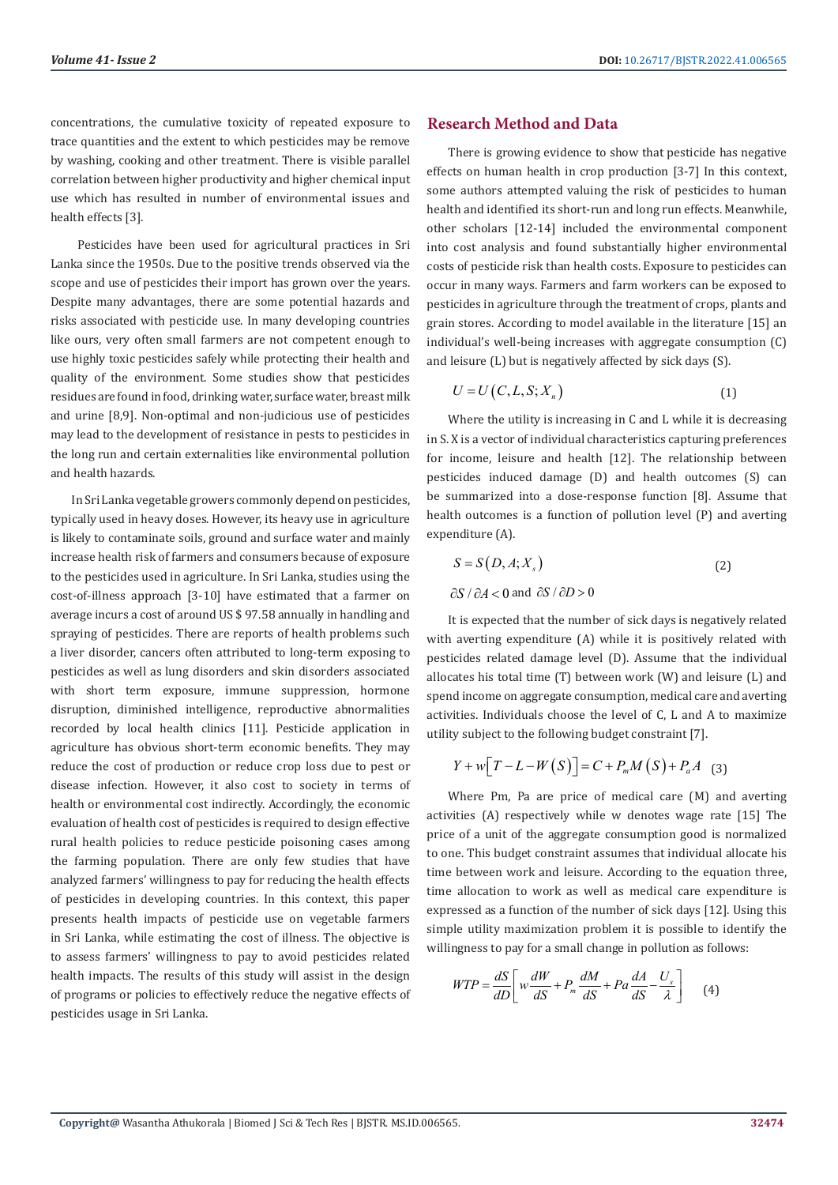concentrations, the cumulative toxicity of repeated exposure to trace quantities and the extent to which pesticides may be remove by washing, cooking and other treatment. There is visible parallel correlation between higher productivity and higher chemical input use which has resulted in number of environmental issues and health effects [3].

 Pesticides have been used for agricultural practices in Sri Lanka since the 1950s. Due to the positive trends observed via the scope and use of pesticides their import has grown over the years. Despite many advantages, there are some potential hazards and risks associated with pesticide use. In many developing countries like ours, very often small farmers are not competent enough to use highly toxic pesticides safely while protecting their health and quality of the environment. Some studies show that pesticides residues are found in food, drinking water, surface water, breast milk and urine [8,9]. Non-optimal and non-judicious use of pesticides may lead to the development of resistance in pests to pesticides in the long run and certain externalities like environmental pollution and health hazards.

In Sri Lanka vegetable growers commonly depend on pesticides, typically used in heavy doses. However, its heavy use in agriculture is likely to contaminate soils, ground and surface water and mainly increase health risk of farmers and consumers because of exposure to the pesticides used in agriculture. In Sri Lanka, studies using the cost-of-illness approach [3-10] have estimated that a farmer on average incurs a cost of around US \$ 97.58 annually in handling and spraying of pesticides. There are reports of health problems such a liver disorder, cancers often attributed to long-term exposing to pesticides as well as lung disorders and skin disorders associated with short term exposure, immune suppression, hormone disruption, diminished intelligence, reproductive abnormalities recorded by local health clinics [11]. Pesticide application in agriculture has obvious short-term economic benefits. They may reduce the cost of production or reduce crop loss due to pest or disease infection. However, it also cost to society in terms of health or environmental cost indirectly. Accordingly, the economic evaluation of health cost of pesticides is required to design effective rural health policies to reduce pesticide poisoning cases among the farming population. There are only few studies that have analyzed farmers' willingness to pay for reducing the health effects of pesticides in developing countries. In this context, this paper presents health impacts of pesticide use on vegetable farmers in Sri Lanka, while estimating the cost of illness. The objective is to assess farmers' willingness to pay to avoid pesticides related health impacts. The results of this study will assist in the design of programs or policies to effectively reduce the negative effects of pesticides usage in Sri Lanka.

# **Research Method and Data**

There is growing evidence to show that pesticide has negative effects on human health in crop production [3-7] In this context, some authors attempted valuing the risk of pesticides to human health and identified its short-run and long run effects. Meanwhile, other scholars [12-14] included the environmental component into cost analysis and found substantially higher environmental costs of pesticide risk than health costs. Exposure to pesticides can occur in many ways. Farmers and farm workers can be exposed to pesticides in agriculture through the treatment of crops, plants and grain stores. According to model available in the literature [15] an individual's well-being increases with aggregate consumption (C) and leisure (L) but is negatively affected by sick days (S).

$$
U = U\left(C, L, S; X_n\right) \tag{1}
$$

Where the utility is increasing in C and L while it is decreasing in S. X is a vector of individual characteristics capturing preferences for income, leisure and health [12]. The relationship between pesticides induced damage (D) and health outcomes (S) can be summarized into a dose-response function [8]. Assume that health outcomes is a function of pollution level (P) and averting expenditure (A).

$$
S = S(D, A; Xs)
$$
  
\n
$$
\partial S / \partial A < 0 \text{ and } \partial S / \partial D > 0
$$
\n(2)

It is expected that the number of sick days is negatively related with averting expenditure (A) while it is positively related with pesticides related damage level (D). Assume that the individual allocates his total time (T) between work (W) and leisure (L) and spend income on aggregate consumption, medical care and averting activities. Individuals choose the level of C, L and A to maximize utility subject to the following budget constraint [7].

$$
Y + w \big[ T - L - W(S) \big] = C + P_m M(S) + P_a A
$$
 (3)

Where Pm, Pa are price of medical care (M) and averting activities (A) respectively while w denotes wage rate [15] The price of a unit of the aggregate consumption good is normalized to one. This budget constraint assumes that individual allocate his time between work and leisure. According to the equation three, time allocation to work as well as medical care expenditure is expressed as a function of the number of sick days [12]. Using this simple utility maximization problem it is possible to identify the willingness to pay for a small change in pollution as follows:

$$
WTP = \frac{dS}{dD} \left[ w \frac{dW}{dS} + P_m \frac{dM}{dS} + Pa \frac{dA}{dS} - \frac{U_s}{\lambda} \right]
$$
(4)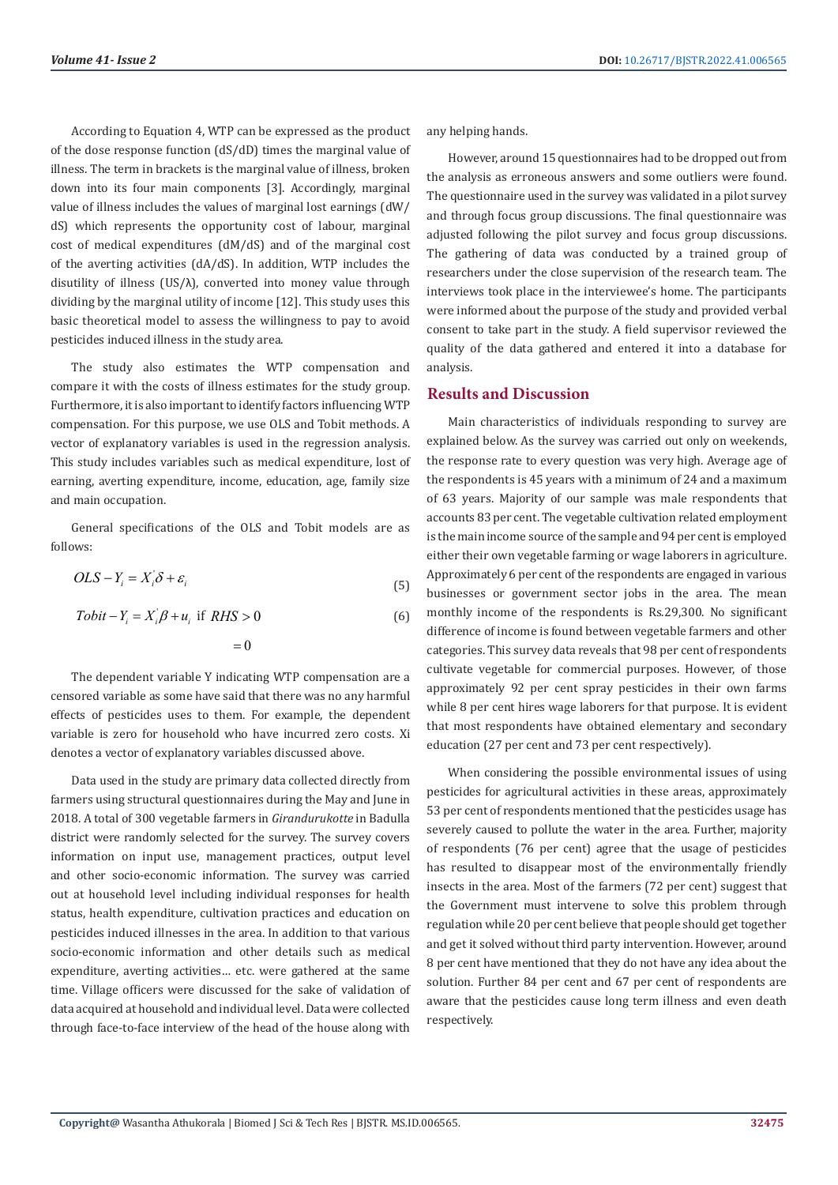According to Equation 4, WTP can be expressed as the product of the dose response function (dS/dD) times the marginal value of illness. The term in brackets is the marginal value of illness, broken down into its four main components [3]. Accordingly, marginal value of illness includes the values of marginal lost earnings (dW/ dS) which represents the opportunity cost of labour, marginal cost of medical expenditures (dM/dS) and of the marginal cost of the averting activities (dA/dS). In addition, WTP includes the disutility of illness (US/λ), converted into money value through dividing by the marginal utility of income [12]. This study uses this basic theoretical model to assess the willingness to pay to avoid pesticides induced illness in the study area.

The study also estimates the WTP compensation and compare it with the costs of illness estimates for the study group. Furthermore, it is also important to identify factors influencing WTP compensation. For this purpose, we use OLS and Tobit methods. A vector of explanatory variables is used in the regression analysis. This study includes variables such as medical expenditure, lost of earning, averting expenditure, income, education, age, family size and main occupation.

General specifications of the OLS and Tobit models are as follows:

$$
OLS - Y_i = X_i' \delta + \varepsilon_i
$$
\n<sup>(5)</sup>

$$
Tobit - Y_i = X_i' \beta + u_i \text{ if } RHS > 0
$$
  
= 0

The dependent variable Y indicating WTP compensation are a censored variable as some have said that there was no any harmful effects of pesticides uses to them. For example, the dependent variable is zero for household who have incurred zero costs. Xi denotes a vector of explanatory variables discussed above.

Data used in the study are primary data collected directly from farmers using structural questionnaires during the May and June in 2018. A total of 300 vegetable farmers in *Girandurukotte* in Badulla district were randomly selected for the survey. The survey covers information on input use, management practices, output level and other socio-economic information. The survey was carried out at household level including individual responses for health status, health expenditure, cultivation practices and education on pesticides induced illnesses in the area. In addition to that various socio-economic information and other details such as medical expenditure, averting activities… etc. were gathered at the same time. Village officers were discussed for the sake of validation of data acquired at household and individual level. Data were collected through face-to-face interview of the head of the house along with

any helping hands.

However, around 15 questionnaires had to be dropped out from the analysis as erroneous answers and some outliers were found. The questionnaire used in the survey was validated in a pilot survey and through focus group discussions. The final questionnaire was adjusted following the pilot survey and focus group discussions. The gathering of data was conducted by a trained group of researchers under the close supervision of the research team. The interviews took place in the interviewee's home. The participants were informed about the purpose of the study and provided verbal consent to take part in the study. A field supervisor reviewed the quality of the data gathered and entered it into a database for analysis.

### **Results and Discussion**

Main characteristics of individuals responding to survey are explained below. As the survey was carried out only on weekends, the response rate to every question was very high. Average age of the respondents is 45 years with a minimum of 24 and a maximum of 63 years. Majority of our sample was male respondents that accounts 83 per cent. The vegetable cultivation related employment is the main income source of the sample and 94 per cent is employed either their own vegetable farming or wage laborers in agriculture. Approximately 6 per cent of the respondents are engaged in various businesses or government sector jobs in the area. The mean monthly income of the respondents is Rs.29,300. No significant difference of income is found between vegetable farmers and other categories. This survey data reveals that 98 per cent of respondents cultivate vegetable for commercial purposes. However, of those approximately 92 per cent spray pesticides in their own farms while 8 per cent hires wage laborers for that purpose. It is evident that most respondents have obtained elementary and secondary education (27 per cent and 73 per cent respectively).

When considering the possible environmental issues of using pesticides for agricultural activities in these areas, approximately 53 per cent of respondents mentioned that the pesticides usage has severely caused to pollute the water in the area. Further, majority of respondents (76 per cent) agree that the usage of pesticides has resulted to disappear most of the environmentally friendly insects in the area. Most of the farmers (72 per cent) suggest that the Government must intervene to solve this problem through regulation while 20 per cent believe that people should get together and get it solved without third party intervention. However, around 8 per cent have mentioned that they do not have any idea about the solution. Further 84 per cent and 67 per cent of respondents are aware that the pesticides cause long term illness and even death respectively.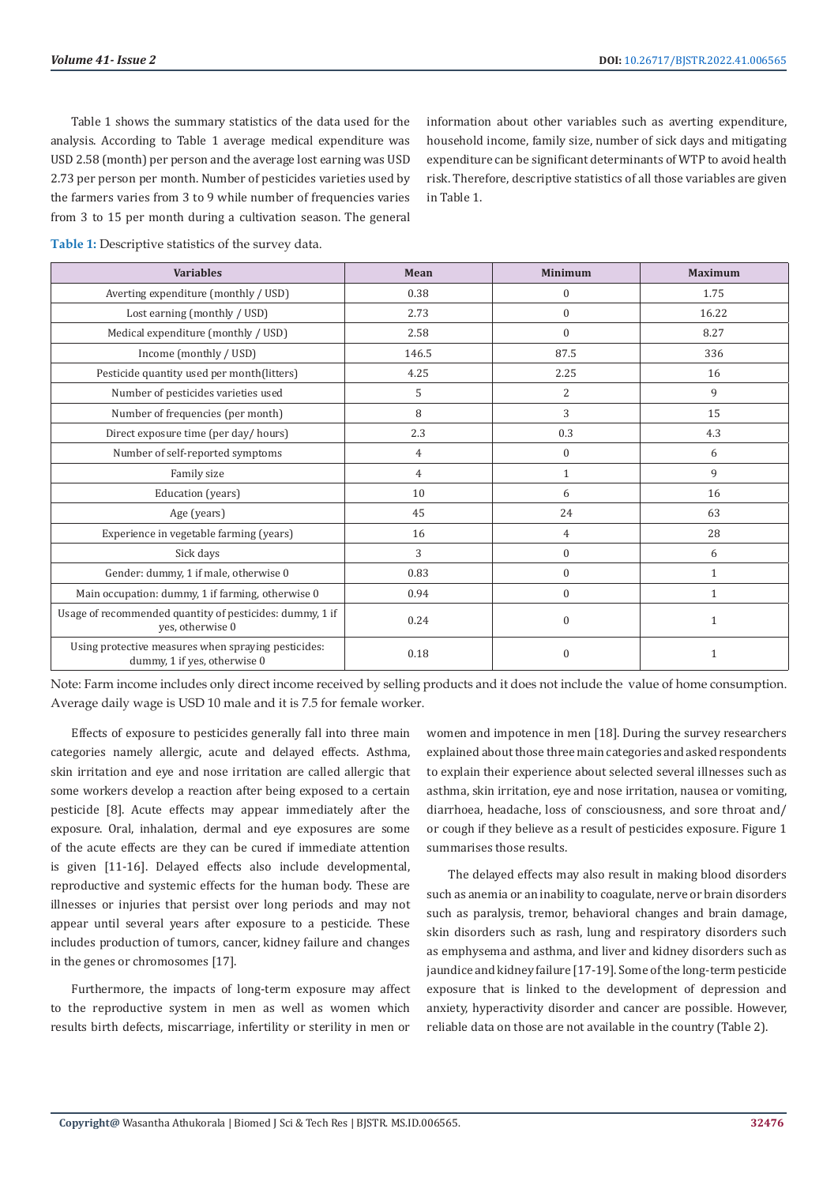Table 1 shows the summary statistics of the data used for the analysis. According to Table 1 average medical expenditure was USD 2.58 (month) per person and the average lost earning was USD 2.73 per person per month. Number of pesticides varieties used by the farmers varies from 3 to 9 while number of frequencies varies from 3 to 15 per month during a cultivation season. The general

information about other variables such as averting expenditure, household income, family size, number of sick days and mitigating expenditure can be significant determinants of WTP to avoid health risk. Therefore, descriptive statistics of all those variables are given in Table 1.

| Table 1: Descriptive statistics of the survey data. |  |  |
|-----------------------------------------------------|--|--|
|                                                     |  |  |

| <b>Variables</b>                                                                    | Mean  | <b>Minimum</b>   | <b>Maximum</b> |
|-------------------------------------------------------------------------------------|-------|------------------|----------------|
| Averting expenditure (monthly / USD)                                                | 0.38  | $\boldsymbol{0}$ | 1.75           |
| Lost earning (monthly / USD)                                                        | 2.73  | $\Omega$         | 16.22          |
| Medical expenditure (monthly / USD)                                                 | 2.58  | $\Omega$         | 8.27           |
| Income (monthly / USD)                                                              | 146.5 | 87.5             | 336            |
| Pesticide quantity used per month(litters)                                          | 4.25  | 2.25             | 16             |
| Number of pesticides varieties used                                                 | 5     | 2                | 9              |
| Number of frequencies (per month)                                                   | 8     | 3                | 15             |
| Direct exposure time (per day/hours)                                                | 2.3   | 0.3              | 4.3            |
| Number of self-reported symptoms                                                    | 4     | $\mathbf{0}$     | 6              |
| Family size                                                                         | 4     | $\mathbf{1}$     | 9              |
| Education (years)                                                                   | 10    | 6                | 16             |
| Age (years)                                                                         | 45    | 24               | 63             |
| Experience in vegetable farming (years)                                             | 16    | $\overline{4}$   | 28             |
| Sick days                                                                           | 3     | $\mathbf{0}$     | 6              |
| Gender: dummy, 1 if male, otherwise 0                                               | 0.83  | $\mathbf{0}$     | $\mathbf{1}$   |
| Main occupation: dummy, 1 if farming, otherwise 0                                   | 0.94  | $\mathbf{0}$     | $\mathbf{1}$   |
| Usage of recommended quantity of pesticides: dummy, 1 if<br>yes, otherwise 0        | 0.24  | $\mathbf{0}$     | $\mathbf{1}$   |
| Using protective measures when spraying pesticides:<br>dummy, 1 if yes, otherwise 0 | 0.18  | $\mathbf{0}$     | 1              |

Note: Farm income includes only direct income received by selling products and it does not include the value of home consumption. Average daily wage is USD 10 male and it is 7.5 for female worker.

Effects of exposure to pesticides generally fall into three main categories namely allergic, acute and delayed effects. Asthma, skin irritation and eye and nose irritation are called allergic that some workers develop a reaction after being exposed to a certain pesticide [8]. Acute effects may appear immediately after the exposure. Oral, inhalation, dermal and eye exposures are some of the acute effects are they can be cured if immediate attention is given [11-16]. Delayed effects also include developmental, reproductive and systemic effects for the human body. These are illnesses or injuries that persist over long periods and may not appear until several years after exposure to a pesticide. These includes production of tumors, cancer, kidney failure and changes in the genes or chromosomes [17].

Furthermore, the impacts of long-term exposure may affect to the reproductive system in men as well as women which results birth defects, miscarriage, infertility or sterility in men or women and impotence in men [18]. During the survey researchers explained about those three main categories and asked respondents to explain their experience about selected several illnesses such as asthma, skin irritation, eye and nose irritation, nausea or vomiting, diarrhoea, headache, loss of consciousness, and sore throat and/ or cough if they believe as a result of pesticides exposure. Figure 1 summarises those results.

The delayed effects may also result in making blood disorders such as anemia or an inability to coagulate, nerve or brain disorders such as paralysis, tremor, behavioral changes and brain damage, skin disorders such as rash, lung and respiratory disorders such as emphysema and asthma, and liver and kidney disorders such as jaundice and kidney failure [17-19]. Some of the long-term pesticide exposure that is linked to the development of depression and anxiety, hyperactivity disorder and cancer are possible. However, reliable data on those are not available in the country (Table 2).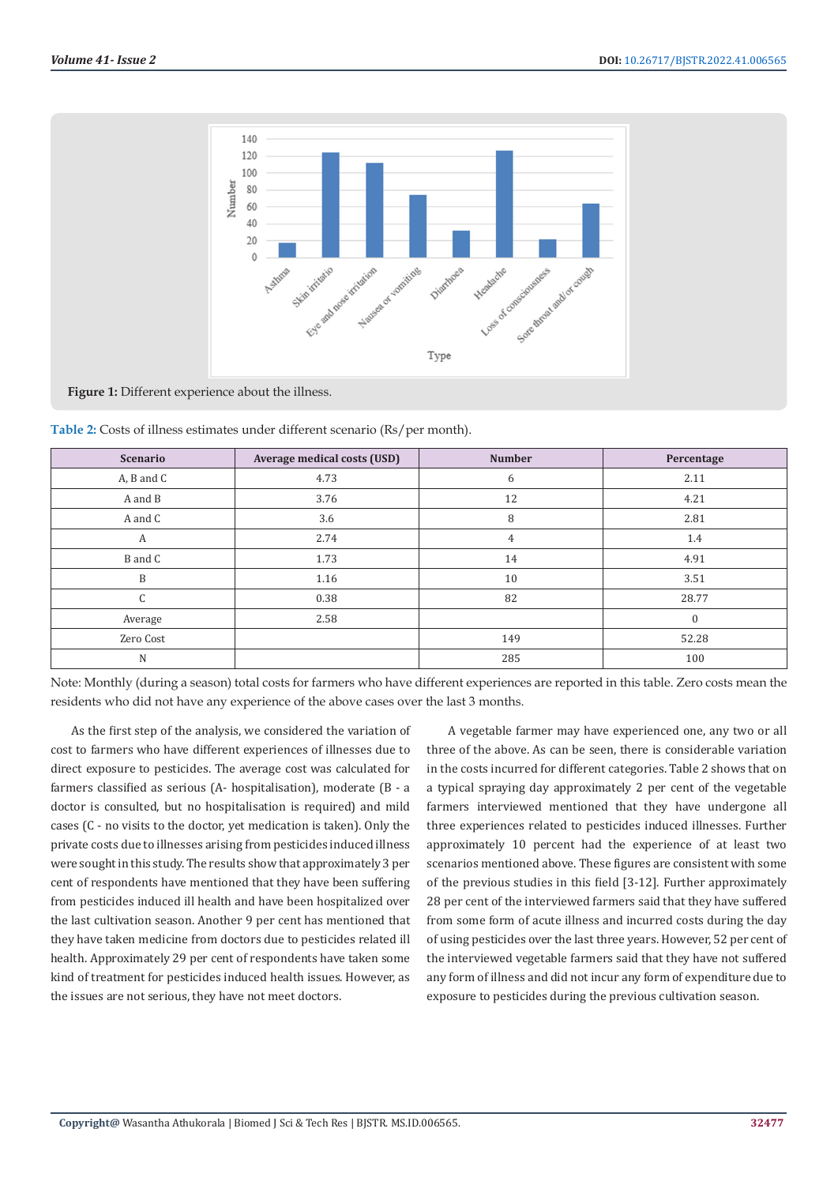

**Figure 1:** Different experience about the illness.

| Table 2: Costs of illness estimates under different scenario (Rs/per month). |  |  |  |  |
|------------------------------------------------------------------------------|--|--|--|--|
|                                                                              |  |  |  |  |

| <b>Scenario</b>   | <b>Average medical costs (USD)</b> | <b>Number</b>  | Percentage |
|-------------------|------------------------------------|----------------|------------|
| $A$ , $B$ and $C$ | 4.73                               | 6              | 2.11       |
| A and B           | 3.76                               | 12             | 4.21       |
| A and C           | 3.6                                | 8              | 2.81       |
| А                 | 2.74                               | $\overline{4}$ | 1.4        |
| B and C           | 1.73                               | 14             | 4.91       |
| B                 | 1.16                               | 10             | 3.51       |
| C                 | 0.38                               | 82             | 28.77      |
| Average           | 2.58                               |                | $\Omega$   |
| Zero Cost         |                                    | 149            | 52.28      |
| N                 |                                    | 285            | 100        |

Note: Monthly (during a season) total costs for farmers who have different experiences are reported in this table. Zero costs mean the residents who did not have any experience of the above cases over the last 3 months.

As the first step of the analysis, we considered the variation of cost to farmers who have different experiences of illnesses due to direct exposure to pesticides. The average cost was calculated for farmers classified as serious (A- hospitalisation), moderate (B - a doctor is consulted, but no hospitalisation is required) and mild cases (C - no visits to the doctor, yet medication is taken). Only the private costs due to illnesses arising from pesticides induced illness were sought in this study. The results show that approximately 3 per cent of respondents have mentioned that they have been suffering from pesticides induced ill health and have been hospitalized over the last cultivation season. Another 9 per cent has mentioned that they have taken medicine from doctors due to pesticides related ill health. Approximately 29 per cent of respondents have taken some kind of treatment for pesticides induced health issues. However, as the issues are not serious, they have not meet doctors.

A vegetable farmer may have experienced one, any two or all three of the above. As can be seen, there is considerable variation in the costs incurred for different categories. Table 2 shows that on a typical spraying day approximately 2 per cent of the vegetable farmers interviewed mentioned that they have undergone all three experiences related to pesticides induced illnesses. Further approximately 10 percent had the experience of at least two scenarios mentioned above. These figures are consistent with some of the previous studies in this field [3-12]. Further approximately 28 per cent of the interviewed farmers said that they have suffered from some form of acute illness and incurred costs during the day of using pesticides over the last three years. However, 52 per cent of the interviewed vegetable farmers said that they have not suffered any form of illness and did not incur any form of expenditure due to exposure to pesticides during the previous cultivation season.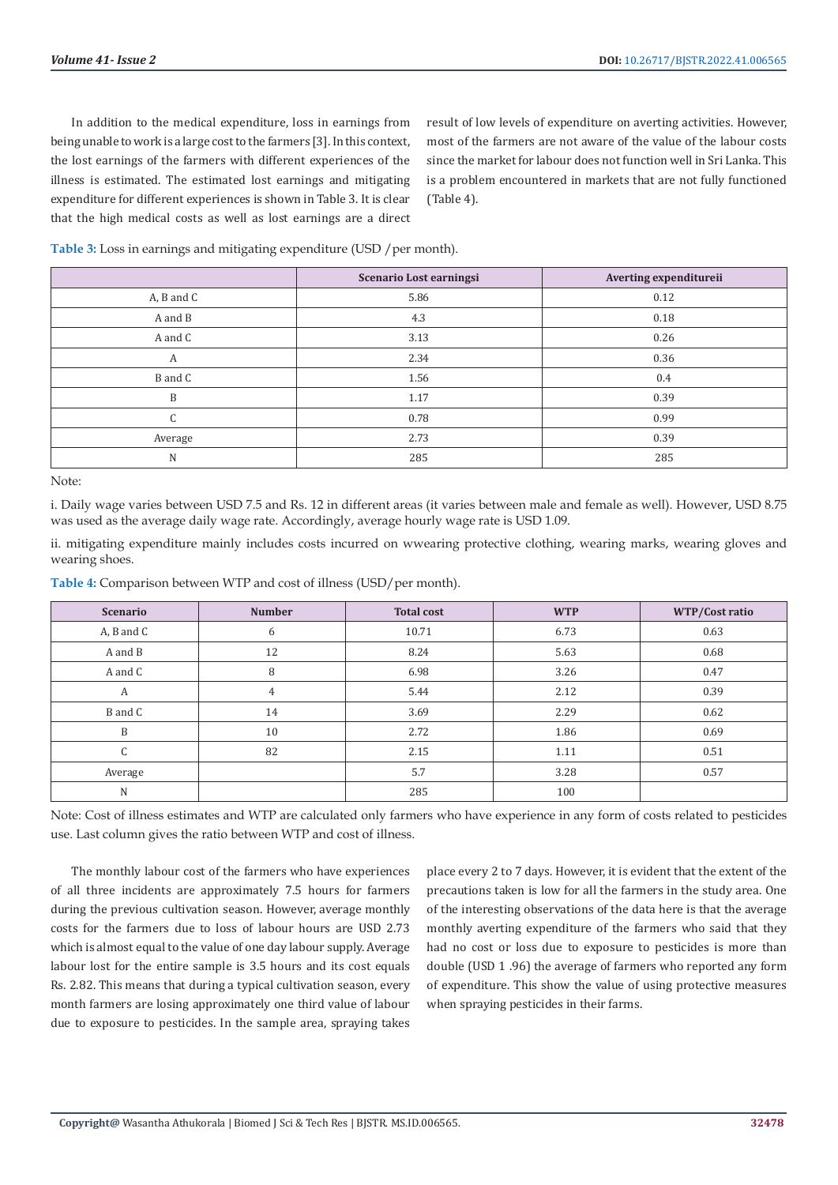In addition to the medical expenditure, loss in earnings from being unable to work is a large cost to the farmers [3]. In this context, the lost earnings of the farmers with different experiences of the illness is estimated. The estimated lost earnings and mitigating expenditure for different experiences is shown in Table 3. It is clear that the high medical costs as well as lost earnings are a direct

result of low levels of expenditure on averting activities. However, most of the farmers are not aware of the value of the labour costs since the market for labour does not function well in Sri Lanka. This is a problem encountered in markets that are not fully functioned (Table 4).

Table 3: Loss in earnings and mitigating expenditure (USD / per month).

|            | Scenario Lost earningsi | Averting expenditureii |
|------------|-------------------------|------------------------|
| A, B and C | 5.86                    | 0.12                   |
| A and B    | 4.3                     | 0.18                   |
| A and C    | 3.13                    | 0.26                   |
| А          | 2.34                    | 0.36                   |
| B and C    | 1.56                    | 0.4                    |
| B          | 1.17                    | 0.39                   |
| C          | 0.78                    | 0.99                   |
| Average    | 2.73                    | 0.39                   |
| N          | 285                     | 285                    |

Note:

i. Daily wage varies between USD 7.5 and Rs. 12 in different areas (it varies between male and female as well). However, USD 8.75 was used as the average daily wage rate. Accordingly, average hourly wage rate is USD 1.09.

ii. mitigating expenditure mainly includes costs incurred on wwearing protective clothing, wearing marks, wearing gloves and wearing shoes.

| <b>Scenario</b>   | <b>Number</b>  | <b>Total cost</b> | <b>WTP</b> | WTP/Cost ratio |
|-------------------|----------------|-------------------|------------|----------------|
| $A$ , $B$ and $C$ | 6              | 10.71             | 6.73       | 0.63           |
| A and B           | 12             | 8.24              | 5.63       | 0.68           |
| A and C           | 8              | 6.98              | 3.26       | 0.47           |
| А                 | $\overline{4}$ | 5.44              | 2.12       | 0.39           |
| B and C           | 14             | 3.69              | 2.29       | 0.62           |
| B                 | 10             | 2.72              | 1.86       | 0.69           |
| $\sqrt{2}$<br>U   | 82             | 2.15              | 1.11       | 0.51           |
| Average           |                | 5.7               | 3.28       | 0.57           |
| N                 |                | 285               | 100        |                |

**Table 4:** Comparison between WTP and cost of illness (USD/per month).

Note: Cost of illness estimates and WTP are calculated only farmers who have experience in any form of costs related to pesticides use. Last column gives the ratio between WTP and cost of illness.

The monthly labour cost of the farmers who have experiences of all three incidents are approximately 7.5 hours for farmers during the previous cultivation season. However, average monthly costs for the farmers due to loss of labour hours are USD 2.73 which is almost equal to the value of one day labour supply. Average labour lost for the entire sample is 3.5 hours and its cost equals Rs. 2.82. This means that during a typical cultivation season, every month farmers are losing approximately one third value of labour due to exposure to pesticides. In the sample area, spraying takes place every 2 to 7 days. However, it is evident that the extent of the precautions taken is low for all the farmers in the study area. One of the interesting observations of the data here is that the average monthly averting expenditure of the farmers who said that they had no cost or loss due to exposure to pesticides is more than double (USD 1 .96) the average of farmers who reported any form of expenditure. This show the value of using protective measures when spraying pesticides in their farms.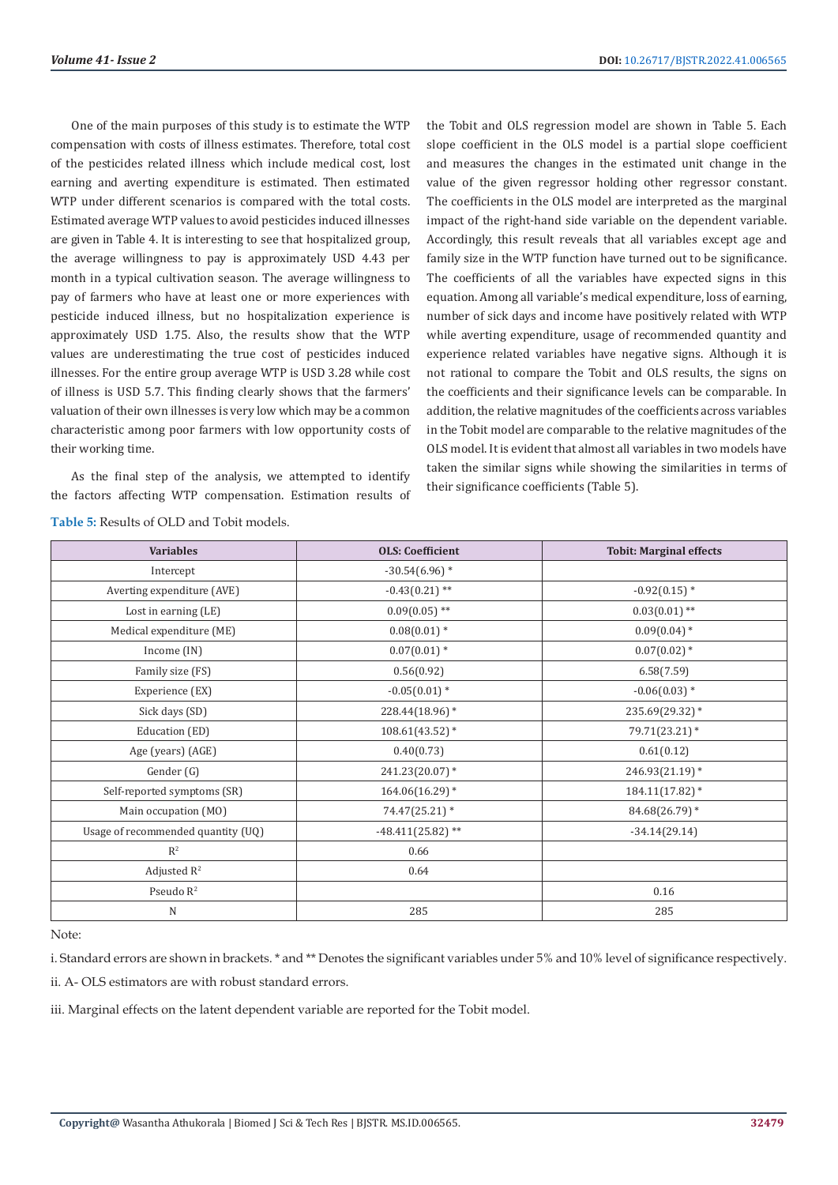One of the main purposes of this study is to estimate the WTP compensation with costs of illness estimates. Therefore, total cost of the pesticides related illness which include medical cost, lost earning and averting expenditure is estimated. Then estimated WTP under different scenarios is compared with the total costs. Estimated average WTP values to avoid pesticides induced illnesses are given in Table 4. It is interesting to see that hospitalized group, the average willingness to pay is approximately USD 4.43 per month in a typical cultivation season. The average willingness to pay of farmers who have at least one or more experiences with pesticide induced illness, but no hospitalization experience is approximately USD 1.75. Also, the results show that the WTP values are underestimating the true cost of pesticides induced illnesses. For the entire group average WTP is USD 3.28 while cost of illness is USD 5.7. This finding clearly shows that the farmers' valuation of their own illnesses is very low which may be a common characteristic among poor farmers with low opportunity costs of their working time.

As the final step of the analysis, we attempted to identify the factors affecting WTP compensation. Estimation results of the Tobit and OLS regression model are shown in Table 5. Each slope coefficient in the OLS model is a partial slope coefficient and measures the changes in the estimated unit change in the value of the given regressor holding other regressor constant. The coefficients in the OLS model are interpreted as the marginal impact of the right-hand side variable on the dependent variable. Accordingly, this result reveals that all variables except age and family size in the WTP function have turned out to be significance. The coefficients of all the variables have expected signs in this equation. Among all variable's medical expenditure, loss of earning, number of sick days and income have positively related with WTP while averting expenditure, usage of recommended quantity and experience related variables have negative signs. Although it is not rational to compare the Tobit and OLS results, the signs on the coefficients and their significance levels can be comparable. In addition, the relative magnitudes of the coefficients across variables in the Tobit model are comparable to the relative magnitudes of the OLS model. It is evident that almost all variables in two models have taken the similar signs while showing the similarities in terms of their significance coefficients (Table 5).

| <b>Variables</b>                   | <b>OLS: Coefficient</b> | <b>Tobit: Marginal effects</b> |
|------------------------------------|-------------------------|--------------------------------|
| Intercept                          | $-30.54(6.96)$ *        |                                |
| Averting expenditure (AVE)         | $-0.43(0.21)$ **        | $-0.92(0.15)$ *                |
| Lost in earning (LE)               | $0.09(0.05)$ **         | $0.03(0.01)$ **                |
| Medical expenditure (ME)           | $0.08(0.01)*$           | $0.09(0.04)$ *                 |
| Income (IN)                        | $0.07(0.01)*$           | $0.07(0.02)*$                  |
| Family size (FS)                   | 0.56(0.92)              | 6.58(7.59)                     |
| Experience (EX)                    | $-0.05(0.01)$ *         | $-0.06(0.03)*$                 |
| Sick days (SD)                     | 228.44(18.96)*          | 235.69(29.32) *                |
| Education (ED)                     | $108.61(43.52)$ *       | 79.71(23.21) *                 |
| Age (years) (AGE)                  | 0.40(0.73)              | 0.61(0.12)                     |
| Gender (G)                         | $241.23(20.07)$ *       | 246.93(21.19)*                 |
| Self-reported symptoms (SR)        | $164.06(16.29)$ *       | $184.11(17.82)$ *              |
| Main occupation (MO)               | 74.47(25.21) *          | 84.68(26.79) *                 |
| Usage of recommended quantity (UQ) | $-48.411(25.82)$ **     | $-34.14(29.14)$                |
| $R^2$                              | 0.66                    |                                |
| Adjusted $R^2$                     | 0.64                    |                                |
| Pseudo $R^2$                       |                         | 0.16                           |
| $\mathbf N$                        | 285                     | 285                            |

**Table 5:** Results of OLD and Tobit models.

Note:

i. Standard errors are shown in brackets. \* and \*\* Denotes the significant variables under 5% and 10% level of significance respectively.

ii. A- OLS estimators are with robust standard errors.

iii. Marginal effects on the latent dependent variable are reported for the Tobit model.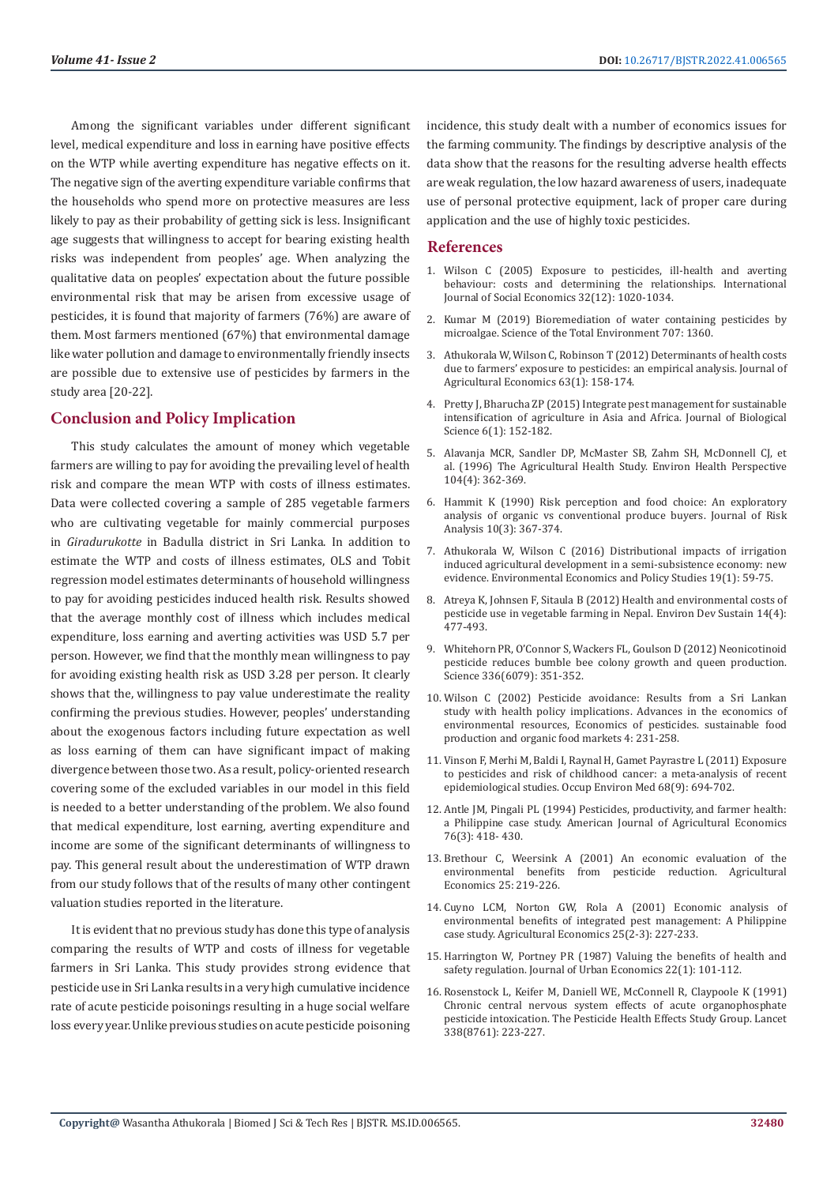Among the significant variables under different significant level, medical expenditure and loss in earning have positive effects on the WTP while averting expenditure has negative effects on it. The negative sign of the averting expenditure variable confirms that the households who spend more on protective measures are less likely to pay as their probability of getting sick is less. Insignificant age suggests that willingness to accept for bearing existing health risks was independent from peoples' age. When analyzing the qualitative data on peoples' expectation about the future possible environmental risk that may be arisen from excessive usage of pesticides, it is found that majority of farmers (76%) are aware of them. Most farmers mentioned (67%) that environmental damage like water pollution and damage to environmentally friendly insects are possible due to extensive use of pesticides by farmers in the study area [20-22].

# **Conclusion and Policy Implication**

This study calculates the amount of money which vegetable farmers are willing to pay for avoiding the prevailing level of health risk and compare the mean WTP with costs of illness estimates. Data were collected covering a sample of 285 vegetable farmers who are cultivating vegetable for mainly commercial purposes in *Giradurukotte* in Badulla district in Sri Lanka. In addition to estimate the WTP and costs of illness estimates, OLS and Tobit regression model estimates determinants of household willingness to pay for avoiding pesticides induced health risk. Results showed that the average monthly cost of illness which includes medical expenditure, loss earning and averting activities was USD 5.7 per person. However, we find that the monthly mean willingness to pay for avoiding existing health risk as USD 3.28 per person. It clearly shows that the, willingness to pay value underestimate the reality confirming the previous studies. However, peoples' understanding about the exogenous factors including future expectation as well as loss earning of them can have significant impact of making divergence between those two. As a result, policy-oriented research covering some of the excluded variables in our model in this field is needed to a better understanding of the problem. We also found that medical expenditure, lost earning, averting expenditure and income are some of the significant determinants of willingness to pay. This general result about the underestimation of WTP drawn from our study follows that of the results of many other contingent valuation studies reported in the literature.

It is evident that no previous study has done this type of analysis comparing the results of WTP and costs of illness for vegetable farmers in Sri Lanka. This study provides strong evidence that pesticide use in Sri Lanka results in a very high cumulative incidence rate of acute pesticide poisonings resulting in a huge social welfare loss every year. Unlike previous studies on acute pesticide poisoning incidence, this study dealt with a number of economics issues for the farming community. The findings by descriptive analysis of the data show that the reasons for the resulting adverse health effects are weak regulation, the low hazard awareness of users, inadequate use of personal protective equipment, lack of proper care during application and the use of highly toxic pesticides.

### **References**

- 1. [Wilson C \(2005\) Exposure to pesticides, ill-health and averting](https://www.researchgate.net/publication/24120167_Exposure_to_pesticides_ill-health_and_averting_behaviour_Costs_and_determining_the_relationships) [behaviour: costs and determining the relationships. International](https://www.researchgate.net/publication/24120167_Exposure_to_pesticides_ill-health_and_averting_behaviour_Costs_and_determining_the_relationships) [Journal of Social Economics 32\(12\): 1020-1034.](https://www.researchgate.net/publication/24120167_Exposure_to_pesticides_ill-health_and_averting_behaviour_Costs_and_determining_the_relationships)
- 2. [Kumar M \(2019\) Bioremediation of water containing pesticides by](https://www.sciencedirect.com/science/article/abs/pii/S0048969719360760) [microalgae. Science of the Total Environment 707: 1360.](https://www.sciencedirect.com/science/article/abs/pii/S0048969719360760)
- 3. [Athukorala W, Wilson C, Robinson T \(2012\) Determinants of health costs](https://onlinelibrary.wiley.com/doi/abs/10.1111/j.1477-9552.2011.00326.x) [due to farmers' exposure to pesticides: an empirical analysis. Journal of](https://onlinelibrary.wiley.com/doi/abs/10.1111/j.1477-9552.2011.00326.x) [Agricultural Economics 63\(1\): 158-174.](https://onlinelibrary.wiley.com/doi/abs/10.1111/j.1477-9552.2011.00326.x)
- 4. [Pretty J, Bharucha ZP \(2015\) Integrate pest management for sustainable](https://www.mdpi.com/2075-4450/6/1/152) [intensification of agriculture in Asia and Africa. Journal of Biological](https://www.mdpi.com/2075-4450/6/1/152) [Science 6\(1\): 152-182.](https://www.mdpi.com/2075-4450/6/1/152)
- 5. [Alavanja MCR, Sandler DP, McMaster SB, Zahm SH, McDonnell CJ, et](https://pubmed.ncbi.nlm.nih.gov/8732939/) [al. \(1996\) The Agricultural Health Study. Environ Health Perspective](https://pubmed.ncbi.nlm.nih.gov/8732939/) [104\(4\): 362-369.](https://pubmed.ncbi.nlm.nih.gov/8732939/)
- 6. [Hammit K \(1990\) Risk perception and food choice: An exploratory](https://pubmed.ncbi.nlm.nih.gov/2173046/) [analysis of organic vs conventional produce buyers. Journal of Risk](https://pubmed.ncbi.nlm.nih.gov/2173046/) [Analysis 10\(3\): 367-374.](https://pubmed.ncbi.nlm.nih.gov/2173046/)
- 7. [Athukorala W, Wilson C \(2016\) Distributional impacts of irrigation](https://ideas.repec.org/a/spr/envpol/v19y2017i1d10.1007_s10018-015-0139-9.html) [induced agricultural development in a semi-subsistence economy: new](https://ideas.repec.org/a/spr/envpol/v19y2017i1d10.1007_s10018-015-0139-9.html) [evidence. Environmental Economics and Policy Studies 19\(1\): 59-75.](https://ideas.repec.org/a/spr/envpol/v19y2017i1d10.1007_s10018-015-0139-9.html)
- 8. [Atreya K, Johnsen F, Sitaula B \(2012\) Health and environmental costs of](https://www.researchgate.net/publication/225765599_Health_and_environmental_costs_of_pesticide_use_in_vegetable_farming_in_Nepal_Environment) [pesticide use in vegetable farming in Nepal. Environ Dev Sustain 14\(4\):](https://www.researchgate.net/publication/225765599_Health_and_environmental_costs_of_pesticide_use_in_vegetable_farming_in_Nepal_Environment) [477-493.](https://www.researchgate.net/publication/225765599_Health_and_environmental_costs_of_pesticide_use_in_vegetable_farming_in_Nepal_Environment)
- 9. [Whitehorn PR, O'Connor S, Wackers FL, Goulson D \(2012\) Neonicotinoid](https://pubmed.ncbi.nlm.nih.gov/22461500/) [pesticide reduces bumble bee colony growth and queen production.](https://pubmed.ncbi.nlm.nih.gov/22461500/) [Science 336\(6079\): 351-352.](https://pubmed.ncbi.nlm.nih.gov/22461500/)
- 10. [Wilson C \(2002\) Pesticide avoidance: Results from a Sri Lankan](https://espace.library.uq.edu.au/view/UQ:68699) [study with health policy implications. Advances in the economics of](https://espace.library.uq.edu.au/view/UQ:68699) [environmental resources, Economics of pesticides. sustainable food](https://espace.library.uq.edu.au/view/UQ:68699) [production and organic food markets 4: 231-258.](https://espace.library.uq.edu.au/view/UQ:68699)
- 11. [Vinson F, Merhi M, Baldi I, Raynal H, Gamet Payrastre L \(2011\) Exposure](https://pubmed.ncbi.nlm.nih.gov/21606468/) [to pesticides and risk of childhood cancer: a meta-analysis of recent](https://pubmed.ncbi.nlm.nih.gov/21606468/) [epidemiological studies. Occup Environ Med 68\(9\): 694-702.](https://pubmed.ncbi.nlm.nih.gov/21606468/)
- 12. [Antle JM, Pingali PL \(1994\) Pesticides, productivity, and farmer health:](https://onlinelibrary.wiley.com/doi/abs/10.2307/1243654) [a Philippine case study. American Journal of Agricultural Economics](https://onlinelibrary.wiley.com/doi/abs/10.2307/1243654) [76\(3\): 418- 430.](https://onlinelibrary.wiley.com/doi/abs/10.2307/1243654)
- 13. [Brethour C, Weersink A \(2001\) An economic evaluation of the](https://www.niehs.nih.gov/research/resources/eheaNIEHS/ehea/resources/page782832.cfm) [environmental benefits from pesticide reduction. Agricultural](https://www.niehs.nih.gov/research/resources/eheaNIEHS/ehea/resources/page782832.cfm) [Economics 25: 219-226.](https://www.niehs.nih.gov/research/resources/eheaNIEHS/ehea/resources/page782832.cfm)
- 14. [Cuyno LCM, Norton GW, Rola A \(2001\) Economic analysis of](https://www.researchgate.net/publication/4740623_Economic_analysis_of_environmental_benefits_of_integrated_pest_management_A_Philippine_case_study) [environmental benefits of integrated pest management: A Philippine](https://www.researchgate.net/publication/4740623_Economic_analysis_of_environmental_benefits_of_integrated_pest_management_A_Philippine_case_study) [case study. Agricultural Economics 25\(2-3\): 227-233.](https://www.researchgate.net/publication/4740623_Economic_analysis_of_environmental_benefits_of_integrated_pest_management_A_Philippine_case_study)
- 15. [Harrington W, Portney PR \(1987\) Valuing the benefits of health and](https://www.sciencedirect.com/science/article/abs/pii/0094119087900520) [safety regulation. Journal of Urban Economics 22\(1\): 101-112.](https://www.sciencedirect.com/science/article/abs/pii/0094119087900520)
- 16. [Rosenstock L, Keifer M, Daniell WE, McConnell R, Claypoole K \(1991\)](https://pubmed.ncbi.nlm.nih.gov/1676786/) [Chronic central nervous system effects of acute organophosphate](https://pubmed.ncbi.nlm.nih.gov/1676786/) [pesticide intoxication. The Pesticide Health Effects Study Group. Lancet](https://pubmed.ncbi.nlm.nih.gov/1676786/) [338\(8761\): 223-227.](https://pubmed.ncbi.nlm.nih.gov/1676786/)